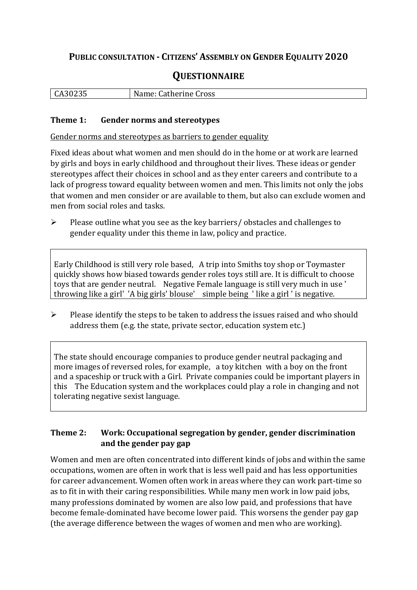## **PUBLIC CONSULTATION - CITIZENS' ASSEMBLY ON GENDER EQUALITY 2020**

# **QUESTIONNAIRE**

| $\bigcap$ $\bigcap$ | Name:           |
|---------------------|-----------------|
| <b>LA3UZ35</b>      | Catherine Cross |
|                     |                 |

#### **Theme 1: Gender norms and stereotypes**

Gender norms and stereotypes as barriers to gender equality

Fixed ideas about what women and men should do in the home or at work are learned by girls and boys in early childhood and throughout their lives. These ideas or gender stereotypes affect their choices in school and as they enter careers and contribute to a lack of progress toward equality between women and men. This limits not only the jobs that women and men consider or are available to them, but also can exclude women and men from social roles and tasks.

➢ Please outline what you see as the key barriers/ obstacles and challenges to gender equality under this theme in law, policy and practice.

Early Childhood is still very role based, A trip into Smiths toy shop or Toymaster quickly shows how biased towards gender roles toys still are. It is difficult to choose toys that are gender neutral. Negative Female language is still very much in use ' throwing like a girl' 'A big girls' blouse' simple being ' like a girl ' is negative.

➢ Please identify the steps to be taken to address the issues raised and who should address them (e.g. the state, private sector, education system etc.)

The state should encourage companies to produce gender neutral packaging and more images of reversed roles, for example, a toy kitchen with a boy on the front and a spaceship or truck with a Girl. Private companies could be important players in this The Education system and the workplaces could play a role in changing and not tolerating negative sexist language.

### **Theme 2: Work: Occupational segregation by gender, gender discrimination and the gender pay gap**

Women and men are often concentrated into different kinds of jobs and within the same occupations, women are often in work that is less well paid and has less opportunities for career advancement. Women often work in areas where they can work part-time so as to fit in with their caring responsibilities. While many men work in low paid jobs, many professions dominated by women are also low paid, and professions that have become female-dominated have become lower paid. This worsens the gender pay gap (the average difference between the wages of women and men who are working).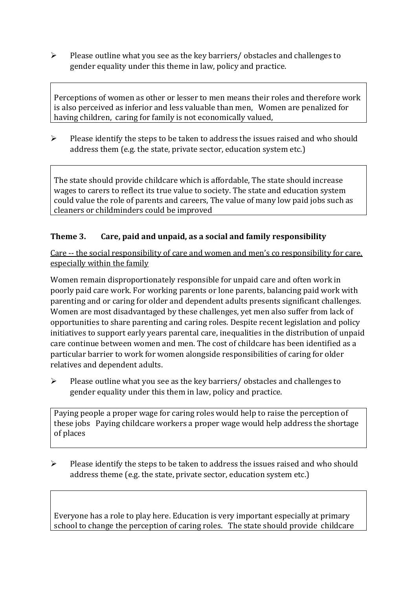➢ Please outline what you see as the key barriers/ obstacles and challenges to gender equality under this theme in law, policy and practice.

Perceptions of women as other or lesser to men means their roles and therefore work is also perceived as inferior and less valuable than men, Women are penalized for having children, caring for family is not economically valued,

➢ Please identify the steps to be taken to address the issues raised and who should address them (e.g. the state, private sector, education system etc.)

The state should provide childcare which is affordable, The state should increase wages to carers to reflect its true value to society. The state and education system could value the role of parents and careers, The value of many low paid jobs such as cleaners or childminders could be improved

### **Theme 3. Care, paid and unpaid, as a social and family responsibility**

Care -- the social responsibility of care and women and men's co responsibility for care, especially within the family

Women remain disproportionately responsible for unpaid care and often work in poorly paid care work. For working parents or [lone parents,](https://aran.library.nuigalway.ie/bitstream/handle/10379/6044/Millar_and_Crosse_Activation_Report.pdf?sequence=1&isAllowed=y) balancing paid work with parenting and or caring for older and dependent adults presents significant challenges. Women are [most disadvantaged by these challenges,](https://eige.europa.eu/gender-equality-index/game/IE/W) yet men also suffer from lack of opportunities to share parenting and caring roles. Despite recent legislation and policy initiatives to support early years parental care, [inequalities in the distribution of unpaid](https://www.ihrec.ie/app/uploads/2019/07/Caring-and-Unpaid-Work-in-Ireland_Final.pdf)  [care](https://www.ihrec.ie/app/uploads/2019/07/Caring-and-Unpaid-Work-in-Ireland_Final.pdf) continue between women and men. The cost of childcare has been identified as a particular barrier to work for women alongside responsibilities of caring for older relatives and dependent adults.

➢ Please outline what you see as the key barriers/ obstacles and challenges to gender equality under this them in law, policy and practice.

Paying people a proper wage for caring roles would help to raise the perception of these jobs Paying childcare workers a proper wage would help address the shortage of places

 $\triangleright$  Please identify the steps to be taken to address the issues raised and who should address theme (e.g. the state, private sector, education system etc.)

Everyone has a role to play here. Education is very important especially at primary school to change the perception of caring roles. The state should provide childcare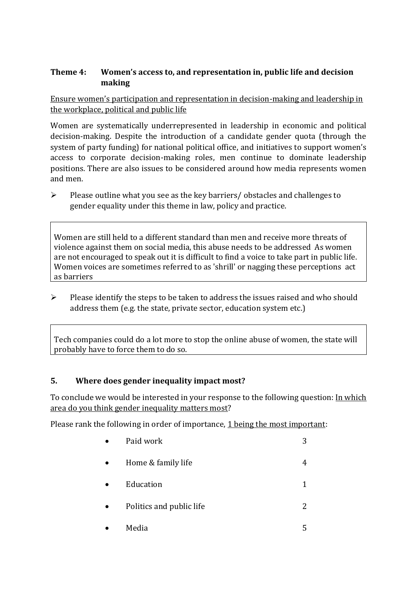### **Theme 4: Women's access to, and representation in, public life and decision making**

Ensure women's participation and representation in decision-making and leadership in the workplace, political and public life

Women are systematically underrepresented in leadership in [economic](https://eige.europa.eu/gender-equality-index/2019/compare-countries/power/2/bar) and [political](https://eige.europa.eu/gender-equality-index/2019/compare-countries/power/1/bar)  [decision-](https://eige.europa.eu/gender-equality-index/2019/compare-countries/power/1/bar)making. Despite the introduction of a candidate gender quota (through the system of party funding) for national political office, and [initiatives](https://betterbalance.ie/) to support women's access to corporate decision-making roles, men continue to dominate leadership positions. There are also issues to be considered around how media represents women and men.

➢ Please outline what you see as the key barriers/ obstacles and challenges to gender equality under this theme in law, policy and practice.

Women are still held to a different standard than men and receive more threats of violence against them on social media, this abuse needs to be addressed As women are not encouraged to speak out it is difficult to find a voice to take part in public life. Women voices are sometimes referred to as 'shrill' or nagging these perceptions act as barriers

 $\triangleright$  Please identify the steps to be taken to address the issues raised and who should address them (e.g. the state, private sector, education system etc.)

Tech companies could do a lot more to stop the online abuse of women, the state will probably have to force them to do so.

#### **5. Where does gender inequality impact most?**

To conclude we would be interested in your response to the following question: In which area do you think gender inequality matters most?

Please rank the following in order of importance, 1 being the most important:

| Paid work                | 3 |
|--------------------------|---|
| Home & family life       | 4 |
| Education                |   |
| Politics and public life | 2 |
| Media                    | 5 |